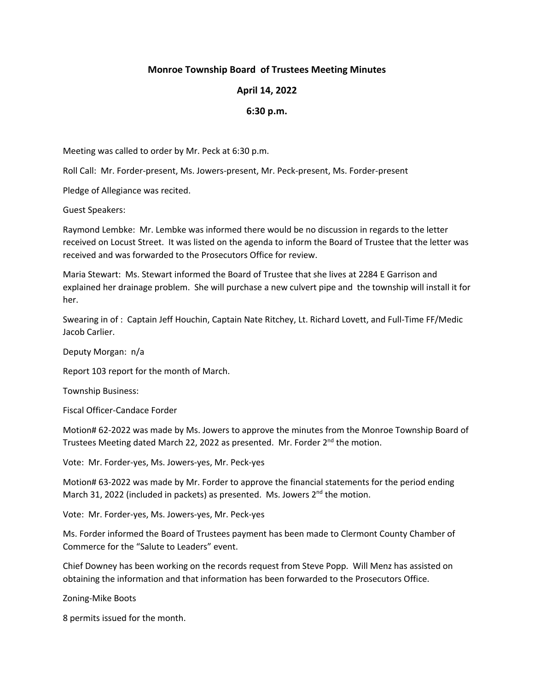## **Monroe Township Board of Trustees Meeting Minutes**

## **April 14, 2022**

## **6:30 p.m.**

Meeting was called to order by Mr. Peck at 6:30 p.m.

Roll Call: Mr. Forder-present, Ms. Jowers-present, Mr. Peck-present, Ms. Forder-present

Pledge of Allegiance was recited.

Guest Speakers:

Raymond Lembke: Mr. Lembke was informed there would be no discussion in regards to the letter received on Locust Street. It was listed on the agenda to inform the Board of Trustee that the letter was received and was forwarded to the Prosecutors Office for review.

Maria Stewart: Ms. Stewart informed the Board of Trustee that she lives at 2284 E Garrison and explained her drainage problem. She will purchase a new culvert pipe and the township will install it for her.

Swearing in of : Captain Jeff Houchin, Captain Nate Ritchey, Lt. Richard Lovett, and Full-Time FF/Medic Jacob Carlier.

Deputy Morgan: n/a

Report 103 report for the month of March.

Township Business:

Fiscal Officer-Candace Forder

Motion# 62-2022 was made by Ms. Jowers to approve the minutes from the Monroe Township Board of Trustees Meeting dated March 22, 2022 as presented. Mr. Forder  $2^{nd}$  the motion.

Vote: Mr. Forder-yes, Ms. Jowers-yes, Mr. Peck-yes

Motion# 63-2022 was made by Mr. Forder to approve the financial statements for the period ending March 31, 2022 (included in packets) as presented. Ms. Jowers 2<sup>nd</sup> the motion.

Vote: Mr. Forder-yes, Ms. Jowers-yes, Mr. Peck-yes

Ms. Forder informed the Board of Trustees payment has been made to Clermont County Chamber of Commerce for the "Salute to Leaders" event.

Chief Downey has been working on the records request from Steve Popp. Will Menz has assisted on obtaining the information and that information has been forwarded to the Prosecutors Office.

Zoning-Mike Boots

8 permits issued for the month.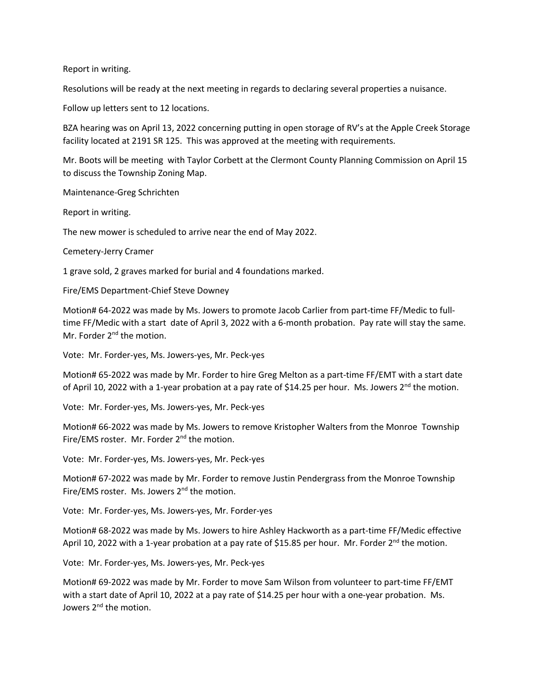Report in writing.

Resolutions will be ready at the next meeting in regards to declaring several properties a nuisance.

Follow up letters sent to 12 locations.

BZA hearing was on April 13, 2022 concerning putting in open storage of RV's at the Apple Creek Storage facility located at 2191 SR 125. This was approved at the meeting with requirements.

Mr. Boots will be meeting with Taylor Corbett at the Clermont County Planning Commission on April 15 to discuss the Township Zoning Map.

Maintenance-Greg Schrichten

Report in writing.

The new mower is scheduled to arrive near the end of May 2022.

Cemetery-Jerry Cramer

1 grave sold, 2 graves marked for burial and 4 foundations marked.

Fire/EMS Department-Chief Steve Downey

Motion# 64-2022 was made by Ms. Jowers to promote Jacob Carlier from part-time FF/Medic to fulltime FF/Medic with a start date of April 3, 2022 with a 6-month probation. Pay rate will stay the same. Mr. Forder 2<sup>nd</sup> the motion.

Vote: Mr. Forder-yes, Ms. Jowers-yes, Mr. Peck-yes

Motion# 65-2022 was made by Mr. Forder to hire Greg Melton as a part-time FF/EMT with a start date of April 10, 2022 with a 1-year probation at a pay rate of \$14.25 per hour. Ms. Jowers 2<sup>nd</sup> the motion.

Vote: Mr. Forder-yes, Ms. Jowers-yes, Mr. Peck-yes

Motion# 66-2022 was made by Ms. Jowers to remove Kristopher Walters from the Monroe Township Fire/EMS roster. Mr. Forder 2<sup>nd</sup> the motion.

Vote: Mr. Forder-yes, Ms. Jowers-yes, Mr. Peck-yes

Motion# 67-2022 was made by Mr. Forder to remove Justin Pendergrass from the Monroe Township Fire/EMS roster. Ms. Jowers 2<sup>nd</sup> the motion.

Vote: Mr. Forder-yes, Ms. Jowers-yes, Mr. Forder-yes

Motion# 68-2022 was made by Ms. Jowers to hire Ashley Hackworth as a part-time FF/Medic effective April 10, 2022 with a 1-year probation at a pay rate of \$15.85 per hour. Mr. Forder 2<sup>nd</sup> the motion.

Vote: Mr. Forder-yes, Ms. Jowers-yes, Mr. Peck-yes

Motion# 69-2022 was made by Mr. Forder to move Sam Wilson from volunteer to part-time FF/EMT with a start date of April 10, 2022 at a pay rate of \$14.25 per hour with a one-year probation. Ms. Jowers 2<sup>nd</sup> the motion.